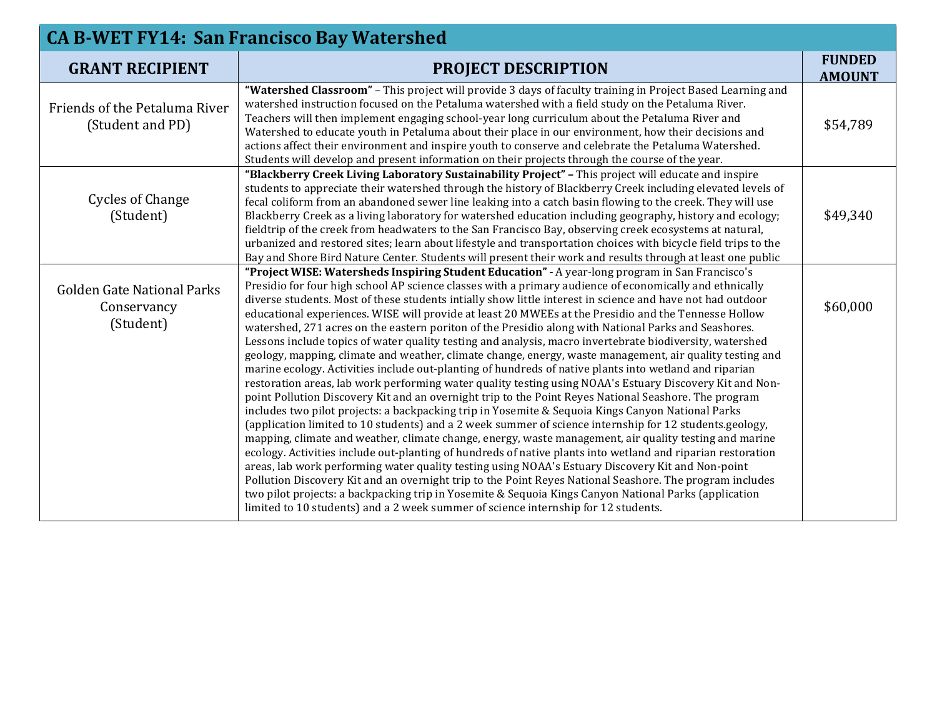| <b>CA B-WET FY14: San Francisco Bay Watershed</b>             |                                                                                                                                                                                                                                                                                                                                                                                                                                                                                                                                                                                                                                                                                                                                                                                                                                                                                                                                                                                                                                                                                                                                                                                                                                                                                                                                                                                                                                                                                                                                                                                                                                                                                                                                                                                                                                                                                                                                                          |                                |  |  |
|---------------------------------------------------------------|----------------------------------------------------------------------------------------------------------------------------------------------------------------------------------------------------------------------------------------------------------------------------------------------------------------------------------------------------------------------------------------------------------------------------------------------------------------------------------------------------------------------------------------------------------------------------------------------------------------------------------------------------------------------------------------------------------------------------------------------------------------------------------------------------------------------------------------------------------------------------------------------------------------------------------------------------------------------------------------------------------------------------------------------------------------------------------------------------------------------------------------------------------------------------------------------------------------------------------------------------------------------------------------------------------------------------------------------------------------------------------------------------------------------------------------------------------------------------------------------------------------------------------------------------------------------------------------------------------------------------------------------------------------------------------------------------------------------------------------------------------------------------------------------------------------------------------------------------------------------------------------------------------------------------------------------------------|--------------------------------|--|--|
| <b>GRANT RECIPIENT</b>                                        | <b>PROJECT DESCRIPTION</b>                                                                                                                                                                                                                                                                                                                                                                                                                                                                                                                                                                                                                                                                                                                                                                                                                                                                                                                                                                                                                                                                                                                                                                                                                                                                                                                                                                                                                                                                                                                                                                                                                                                                                                                                                                                                                                                                                                                               | <b>FUNDED</b><br><b>AMOUNT</b> |  |  |
| Friends of the Petaluma River<br>(Student and PD)             | "Watershed Classroom" - This project will provide 3 days of faculty training in Project Based Learning and<br>watershed instruction focused on the Petaluma watershed with a field study on the Petaluma River.<br>Teachers will then implement engaging school-year long curriculum about the Petaluma River and<br>Watershed to educate youth in Petaluma about their place in our environment, how their decisions and<br>actions affect their environment and inspire youth to conserve and celebrate the Petaluma Watershed.<br>Students will develop and present information on their projects through the course of the year.                                                                                                                                                                                                                                                                                                                                                                                                                                                                                                                                                                                                                                                                                                                                                                                                                                                                                                                                                                                                                                                                                                                                                                                                                                                                                                                     | \$54,789                       |  |  |
| <b>Cycles of Change</b><br>(Student)                          | "Blackberry Creek Living Laboratory Sustainability Project" - This project will educate and inspire<br>students to appreciate their watershed through the history of Blackberry Creek including elevated levels of<br>fecal coliform from an abandoned sewer line leaking into a catch basin flowing to the creek. They will use<br>Blackberry Creek as a living laboratory for watershed education including geography, history and ecology;<br>fieldtrip of the creek from headwaters to the San Francisco Bay, observing creek ecosystems at natural,<br>urbanized and restored sites; learn about lifestyle and transportation choices with bicycle field trips to the<br>Bay and Shore Bird Nature Center. Students will present their work and results through at least one public                                                                                                                                                                                                                                                                                                                                                                                                                                                                                                                                                                                                                                                                                                                                                                                                                                                                                                                                                                                                                                                                                                                                                                 | \$49,340                       |  |  |
| <b>Golden Gate National Parks</b><br>Conservancy<br>(Student) | "Project WISE: Watersheds Inspiring Student Education" - A year-long program in San Francisco's<br>Presidio for four high school AP science classes with a primary audience of economically and ethnically<br>diverse students. Most of these students intially show little interest in science and have not had outdoor<br>educational experiences. WISE will provide at least 20 MWEEs at the Presidio and the Tennesse Hollow<br>watershed, 271 acres on the eastern poriton of the Presidio along with National Parks and Seashores.<br>Lessons include topics of water quality testing and analysis, macro invertebrate biodiversity, watershed<br>geology, mapping, climate and weather, climate change, energy, waste management, air quality testing and<br>marine ecology. Activities include out-planting of hundreds of native plants into wetland and riparian<br>restoration areas, lab work performing water quality testing using NOAA's Estuary Discovery Kit and Non-<br>point Pollution Discovery Kit and an overnight trip to the Point Reyes National Seashore. The program<br>includes two pilot projects: a backpacking trip in Yosemite & Sequoia Kings Canyon National Parks<br>(application limited to 10 students) and a 2 week summer of science internship for 12 students.geology,<br>mapping, climate and weather, climate change, energy, waste management, air quality testing and marine<br>ecology. Activities include out-planting of hundreds of native plants into wetland and riparian restoration<br>areas, lab work performing water quality testing using NOAA's Estuary Discovery Kit and Non-point<br>Pollution Discovery Kit and an overnight trip to the Point Reyes National Seashore. The program includes<br>two pilot projects: a backpacking trip in Yosemite & Sequoia Kings Canyon National Parks (application<br>limited to 10 students) and a 2 week summer of science internship for 12 students. | \$60,000                       |  |  |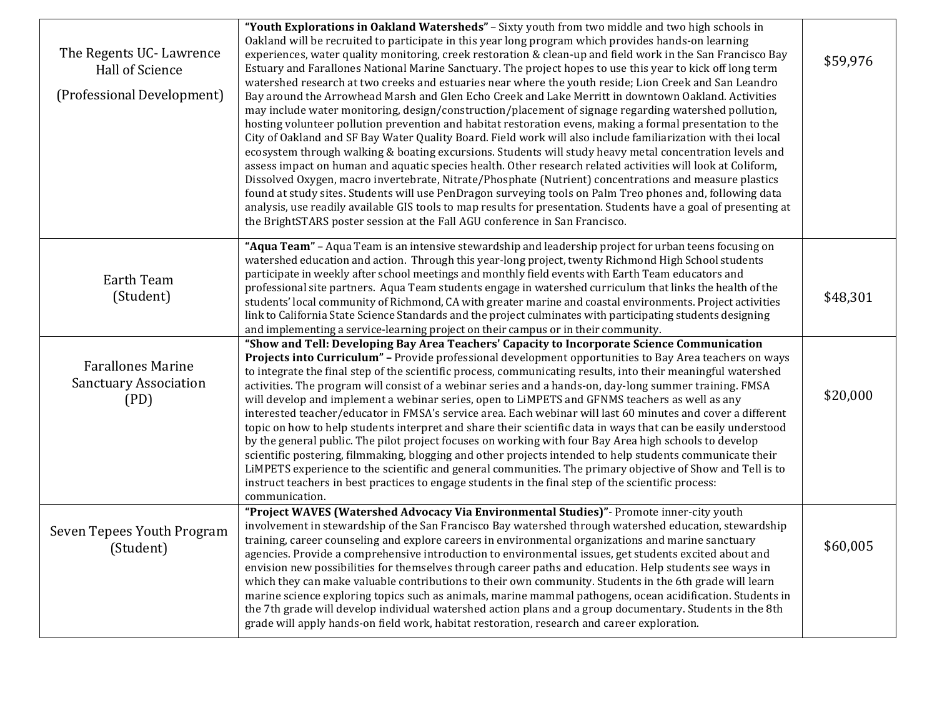| The Regents UC-Lawrence<br>Hall of Science<br>(Professional Development) | "Youth Explorations in Oakland Watersheds" - Sixty youth from two middle and two high schools in<br>Oakland will be recruited to participate in this year long program which provides hands-on learning<br>experiences, water quality monitoring, creek restoration & clean-up and field work in the San Francisco Bay<br>Estuary and Farallones National Marine Sanctuary. The project hopes to use this year to kick off long term<br>watershed research at two creeks and estuaries near where the youth reside; Lion Creek and San Leandro<br>Bay around the Arrowhead Marsh and Glen Echo Creek and Lake Merritt in downtown Oakland. Activities<br>may include water monitoring, design/construction/placement of signage regarding watershed pollution,<br>hosting volunteer pollution prevention and habitat restoration evens, making a formal presentation to the<br>City of Oakland and SF Bay Water Quality Board. Field work will also include familiarization with thei local<br>ecosystem through walking & boating excursions. Students will study heavy metal concentration levels and<br>assess impact on human and aquatic species health. Other research related activities will look at Coliform,<br>Dissolved Oxygen, macro invertebrate, Nitrate/Phosphate (Nutrient) concentrations and measure plastics<br>found at study sites. Students will use PenDragon surveying tools on Palm Treo phones and, following data<br>analysis, use readily available GIS tools to map results for presentation. Students have a goal of presenting at<br>the BrightSTARS poster session at the Fall AGU conference in San Francisco. | \$59,976 |
|--------------------------------------------------------------------------|--------------------------------------------------------------------------------------------------------------------------------------------------------------------------------------------------------------------------------------------------------------------------------------------------------------------------------------------------------------------------------------------------------------------------------------------------------------------------------------------------------------------------------------------------------------------------------------------------------------------------------------------------------------------------------------------------------------------------------------------------------------------------------------------------------------------------------------------------------------------------------------------------------------------------------------------------------------------------------------------------------------------------------------------------------------------------------------------------------------------------------------------------------------------------------------------------------------------------------------------------------------------------------------------------------------------------------------------------------------------------------------------------------------------------------------------------------------------------------------------------------------------------------------------------------------------------------------------------------------------------------------------------|----------|
| Earth Team<br>(Student)                                                  | "Aqua Team" - Aqua Team is an intensive stewardship and leadership project for urban teens focusing on<br>watershed education and action. Through this year-long project, twenty Richmond High School students<br>participate in weekly after school meetings and monthly field events with Earth Team educators and<br>professional site partners. Aqua Team students engage in watershed curriculum that links the health of the<br>students' local community of Richmond, CA with greater marine and coastal environments. Project activities<br>link to California State Science Standards and the project culminates with participating students designing<br>and implementing a service-learning project on their campus or in their community.                                                                                                                                                                                                                                                                                                                                                                                                                                                                                                                                                                                                                                                                                                                                                                                                                                                                                            | \$48,301 |
| <b>Farallones Marine</b><br><b>Sanctuary Association</b><br>(PD)         | "Show and Tell: Developing Bay Area Teachers' Capacity to Incorporate Science Communication<br>Projects into Curriculum" - Provide professional development opportunities to Bay Area teachers on ways<br>to integrate the final step of the scientific process, communicating results, into their meaningful watershed<br>activities. The program will consist of a webinar series and a hands-on, day-long summer training. FMSA<br>will develop and implement a webinar series, open to LiMPETS and GFNMS teachers as well as any<br>interested teacher/educator in FMSA's service area. Each webinar will last 60 minutes and cover a different<br>topic on how to help students interpret and share their scientific data in ways that can be easily understood<br>by the general public. The pilot project focuses on working with four Bay Area high schools to develop<br>scientific postering, filmmaking, blogging and other projects intended to help students communicate their<br>LiMPETS experience to the scientific and general communities. The primary objective of Show and Tell is to<br>instruct teachers in best practices to engage students in the final step of the scientific process:<br>communication.                                                                                                                                                                                                                                                                                                                                                                                                               | \$20,000 |
| Seven Tepees Youth Program<br>(Student)                                  | "Project WAVES (Watershed Advocacy Via Environmental Studies)" - Promote inner-city youth<br>involvement in stewardship of the San Francisco Bay watershed through watershed education, stewardship<br>training, career counseling and explore careers in environmental organizations and marine sanctuary<br>agencies. Provide a comprehensive introduction to environmental issues, get students excited about and<br>envision new possibilities for themselves through career paths and education. Help students see ways in<br>which they can make valuable contributions to their own community. Students in the 6th grade will learn<br>marine science exploring topics such as animals, marine mammal pathogens, ocean acidification. Students in<br>the 7th grade will develop individual watershed action plans and a group documentary. Students in the 8th<br>grade will apply hands-on field work, habitat restoration, research and career exploration.                                                                                                                                                                                                                                                                                                                                                                                                                                                                                                                                                                                                                                                                             | \$60,005 |